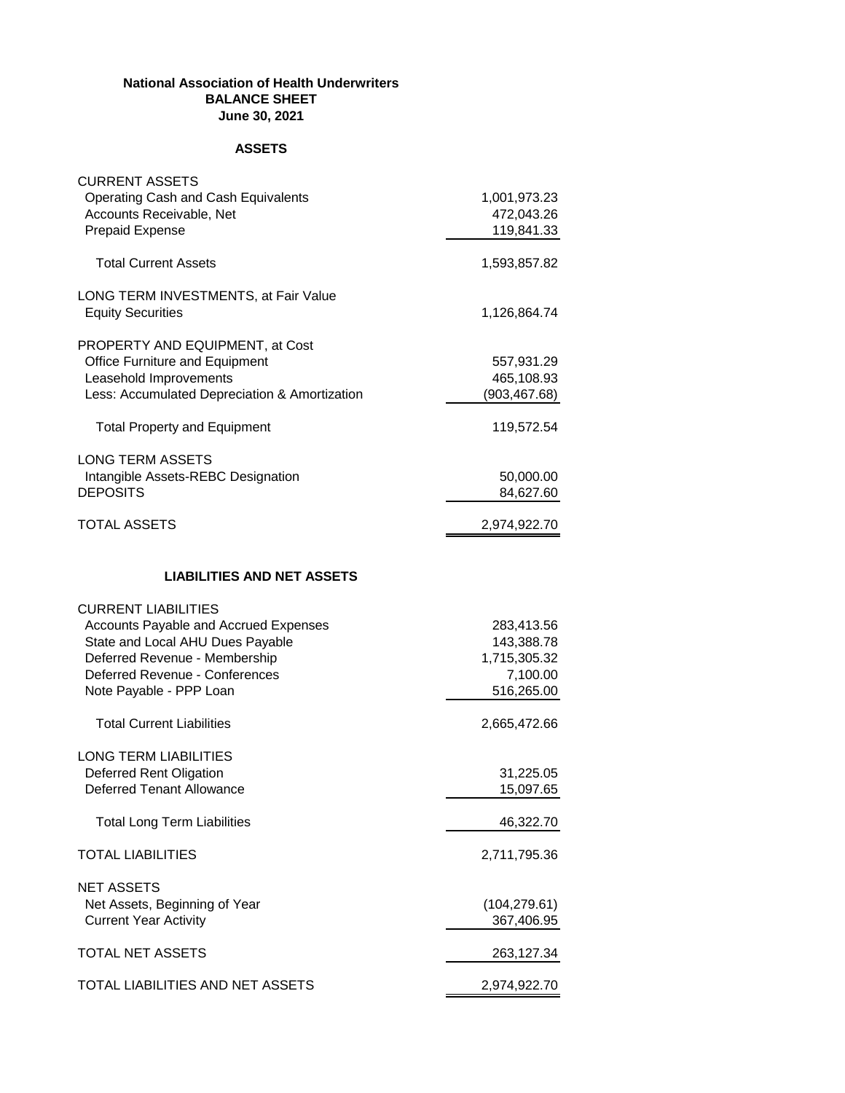## **National Association of Health Underwriters BALANCE SHEET June 30, 2021**

## **ASSETS**

| <b>CURRENT ASSETS</b><br>Operating Cash and Cash Equivalents<br>Accounts Receivable, Net<br><b>Prepaid Expense</b>                                                                                    | 1,001,973.23<br>472,043.26<br>119,841.33                           |
|-------------------------------------------------------------------------------------------------------------------------------------------------------------------------------------------------------|--------------------------------------------------------------------|
| <b>Total Current Assets</b>                                                                                                                                                                           | 1,593,857.82                                                       |
| LONG TERM INVESTMENTS, at Fair Value<br><b>Equity Securities</b>                                                                                                                                      | 1,126,864.74                                                       |
| PROPERTY AND EQUIPMENT, at Cost<br>Office Furniture and Equipment<br>Leasehold Improvements<br>Less: Accumulated Depreciation & Amortization                                                          | 557,931.29<br>465,108.93<br>(903, 467.68)                          |
| <b>Total Property and Equipment</b>                                                                                                                                                                   | 119,572.54                                                         |
| <b>LONG TERM ASSETS</b><br>Intangible Assets-REBC Designation<br><b>DEPOSITS</b>                                                                                                                      | 50,000.00<br>84,627.60                                             |
| <b>TOTAL ASSETS</b>                                                                                                                                                                                   | 2,974,922.70                                                       |
| <b>LIABILITIES AND NET ASSETS</b>                                                                                                                                                                     |                                                                    |
| <b>CURRENT LIABILITIES</b><br>Accounts Payable and Accrued Expenses<br>State and Local AHU Dues Payable<br>Deferred Revenue - Membership<br>Deferred Revenue - Conferences<br>Note Payable - PPP Loan | 283,413.56<br>143,388.78<br>1,715,305.32<br>7,100.00<br>516,265.00 |
| <b>Total Current Liabilities</b>                                                                                                                                                                      | 2,665,472.66                                                       |
| <b>LONG TERM LIABILITIES</b><br>Deferred Rent Oligation<br><b>Deferred Tenant Allowance</b>                                                                                                           | 31,225.05<br>15,097.65                                             |
| <b>Total Long Term Liabilities</b>                                                                                                                                                                    | 46,322.70                                                          |
| <b>TOTAL LIABILITIES</b>                                                                                                                                                                              | 2,711,795.36                                                       |
| <b>NET ASSETS</b><br>Net Assets, Beginning of Year<br><b>Current Year Activity</b>                                                                                                                    | (104, 279.61)<br>367,406.95                                        |
| <b>TOTAL NET ASSETS</b>                                                                                                                                                                               | 263,127.34                                                         |
| TOTAL LIABILITIES AND NET ASSETS                                                                                                                                                                      | 2,974,922.70                                                       |